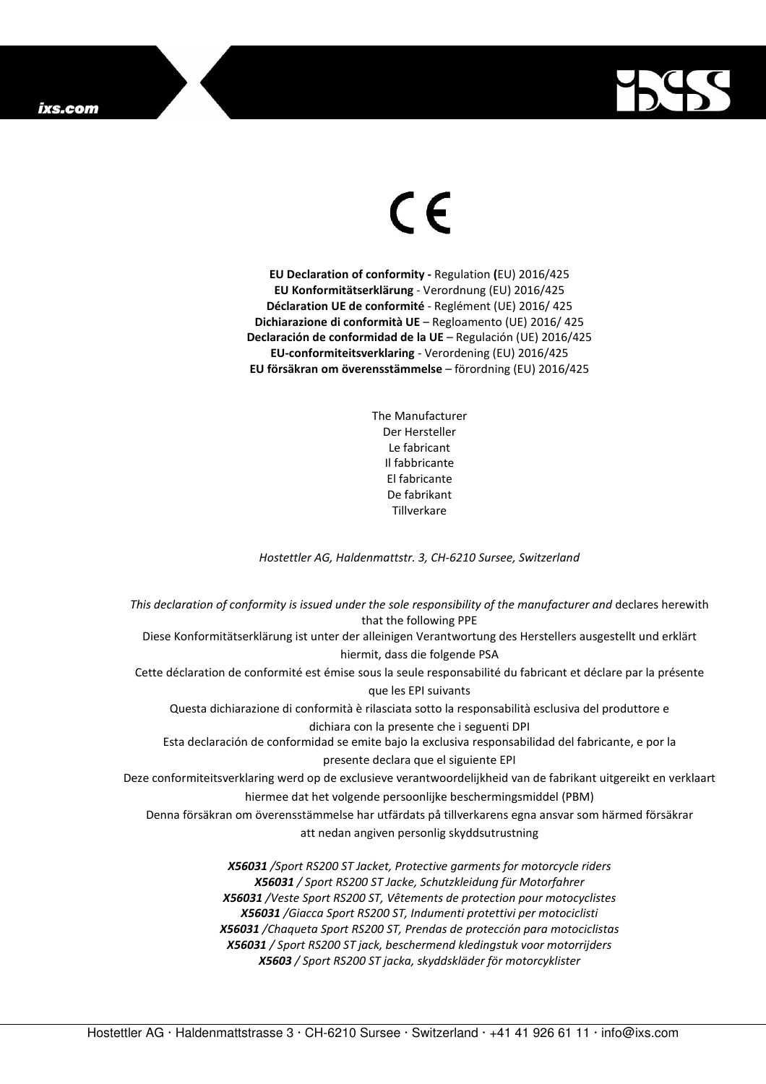## ixs.com



## $\in$   $\epsilon$

**EU Declaration of conformity -** Regulation **(**EU) 2016/425 **EU Konformitätserklärung** - Verordnung (EU) 2016/425 **Déclaration UE de conformité** - Reglément (UE) 2016/ 425 **Dichiarazione di conformità UE** – Regloamento (UE) 2016/ 425 **Declaración de conformidad de la UE** – Regulación (UE) 2016/425 **EU-conformiteitsverklaring** - Verordening (EU) 2016/425 **EU försäkran om överensstämmelse** – förordning (EU) 2016/425

> The Manufacturer Der Hersteller Le fabricant Il fabbricante El fabricante De fabrikant **Tillverkare**

*Hostettler AG, Haldenmattstr. 3, CH-6210 Sursee, Switzerland* 

*This declaration of conformity is issued under the sole responsibility of the manufacturer and* declares herewith that the following PPE Diese Konformitätserklärung ist unter der alleinigen Verantwortung des Herstellers ausgestellt und erklärt hiermit, dass die folgende PSA Cette déclaration de conformité est émise sous la seule responsabilité du fabricant et déclare par la présente que les EPI suivants Questa dichiarazione di conformità è rilasciata sotto la responsabilità esclusiva del produttore e dichiara con la presente che i seguenti DPI Esta declaración de conformidad se emite bajo la exclusiva responsabilidad del fabricante, e por la presente declara que el siguiente EPI Deze conformiteitsverklaring werd op de exclusieve verantwoordelijkheid van de fabrikant uitgereikt en verklaart hiermee dat het volgende persoonlijke beschermingsmiddel (PBM) Denna försäkran om överensstämmelse har utfärdats på tillverkarens egna ansvar som härmed försäkrar att nedan angiven personlig skyddsutrustning *X56031 /Sport RS200 ST Jacket, Protective garments for motorcycle riders X56031 / Sport RS200 ST Jacke, Schutzkleidung für Motorfahrer X56031 /Veste Sport RS200 ST, Vêtements de protection pour motocyclistes X56031 /Giacca Sport RS200 ST, Indumenti protettivi per motociclisti X56031 /Chaqueta Sport RS200 ST, Prendas de protección para motociclistas* 

> *X56031 / Sport RS200 ST jack, beschermend kledingstuk voor motorrijders X5603 / Sport RS200 ST jacka, skyddskläder för motorcyklister*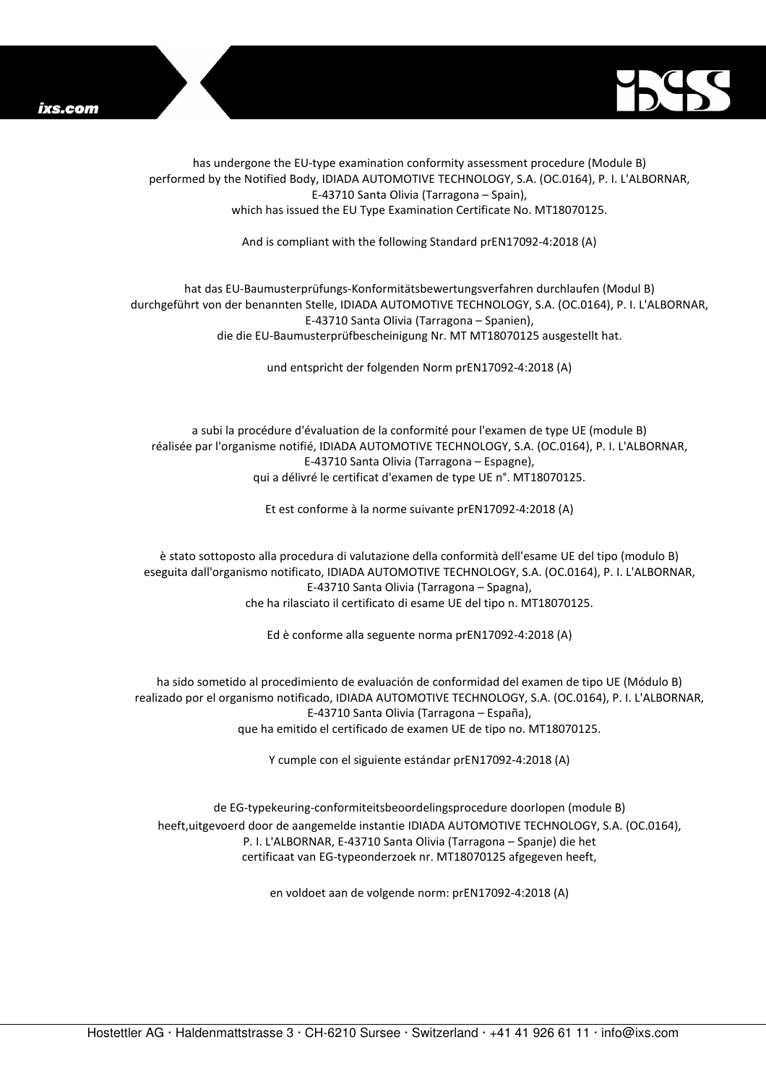



has undergone the EU-type examination conformity assessment procedure (Module B) performed by the Notified Body, IDIADA AUTOMOTIVE TECHNOLOGY, S.A. (OC.0164), P. I. L'ALBORNAR, E-43710 Santa Olivia (Tarragona – Spain), which has issued the EU Type Examination Certificate No. MT18070125.

And is compliant with the following Standard prEN17092-4:2018 (A)

## hat das EU-Baumusterprüfungs-Konformitätsbewertungsverfahren durchlaufen (Modul B) durchgeführt von der benannten Stelle, IDIADA AUTOMOTIVE TECHNOLOGY, S.A. (OC.0164), P. I. L'ALBORNAR, E-43710 Santa Olivia (Tarragona – Spanien), die die EU-Baumusterprüfbescheinigung Nr. MT MT18070125 ausgestellt hat.

und entspricht der folgenden Norm prEN17092-4:2018 (A)

a subi la procédure d'évaluation de la conformité pour l'examen de type UE (module B) réalisée par l'organisme notifié, IDIADA AUTOMOTIVE TECHNOLOGY, S.A. (OC.0164), P. I. L'ALBORNAR, E-43710 Santa Olivia (Tarragona – Espagne), qui a délivré le certificat d'examen de type UE n°. MT18070125.

Et est conforme à la norme suivante prEN17092-4:2018 (A)

è stato sottoposto alla procedura di valutazione della conformità dell'esame UE del tipo (modulo B) eseguita dall'organismo notificato, IDIADA AUTOMOTIVE TECHNOLOGY, S.A. (OC.0164), P. I. L'ALBORNAR, E-43710 Santa Olivia (Tarragona – Spagna), che ha rilasciato il certificato di esame UE del tipo n. MT18070125.

Ed è conforme alla seguente norma prEN17092-4:2018 (A)

ha sido sometido al procedimiento de evaluación de conformidad del examen de tipo UE (Módulo B) realizado por el organismo notificado, IDIADA AUTOMOTIVE TECHNOLOGY, S.A. (OC.0164), P. I. L'ALBORNAR, E-43710 Santa Olivia (Tarragona – España), que ha emitido el certificado de examen UE de tipo no. MT18070125.

Y cumple con el siguiente estándar prEN17092-4:2018 (A)

de EG-typekeuring-conformiteitsbeoordelingsprocedure doorlopen (module B) heeft,uitgevoerd door de aangemelde instantie IDIADA AUTOMOTIVE TECHNOLOGY, S.A. (OC.0164), P. I. L'ALBORNAR, E-43710 Santa Olivia (Tarragona – Spanje) die het certificaat van EG-typeonderzoek nr. MT18070125 afgegeven heeft,

en voldoet aan de volgende norm: prEN17092-4:2018 (A)